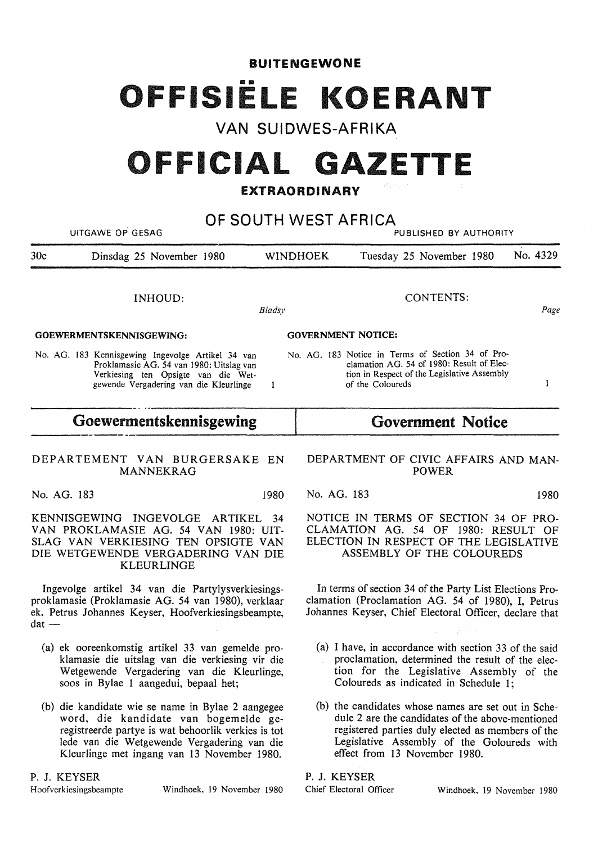#### **BUITENGEWONE**

# FFISIËLE KOERANT

# **VAN SUIDWES-AFRIKA**

# **OFFICIAL GAZETTE**

# **EXTRAORDINARY**

| OF SOUTH WEST AFRICA<br>UITGAWE OP GESAG<br>PUBLISHED BY AUTHORITY                                                                                                                                                                              |                                                                                                                                                                                                                                             |                                                                                                                                                                                                |          |  |
|-------------------------------------------------------------------------------------------------------------------------------------------------------------------------------------------------------------------------------------------------|---------------------------------------------------------------------------------------------------------------------------------------------------------------------------------------------------------------------------------------------|------------------------------------------------------------------------------------------------------------------------------------------------------------------------------------------------|----------|--|
| 30c<br>Dinsdag 25 November 1980                                                                                                                                                                                                                 | <b>WINDHOEK</b>                                                                                                                                                                                                                             | Tuesday 25 November 1980                                                                                                                                                                       | No. 4329 |  |
| INHOUD:<br>Bladsy                                                                                                                                                                                                                               |                                                                                                                                                                                                                                             | <b>CONTENTS:</b>                                                                                                                                                                               | Page     |  |
| GOEWERMENTSKENNISGEWING:                                                                                                                                                                                                                        | <b>GOVERNMENT NOTICE:</b>                                                                                                                                                                                                                   |                                                                                                                                                                                                |          |  |
| No. AG. 183 Kennisgewing Ingevolge Artikel 34 van<br>Proklamasie AG. 54 van 1980: Uitslag van<br>Verkiesing ten Opsigte van die Wet-<br>gewende Vergadering van die Kleurlinge<br>1                                                             |                                                                                                                                                                                                                                             | No. AG. 183 Notice in Terms of Section 34 of Pro-<br>clamation AG. 54 of 1980: Result of Elec-<br>tion in Respect of the Legislative Assembly<br>of the Coloureds                              | I        |  |
| Goewermentskennisgewing                                                                                                                                                                                                                         | <b>Government Notice</b>                                                                                                                                                                                                                    |                                                                                                                                                                                                |          |  |
| DEPARTEMENT VAN BURGERSAKE EN<br><b>MANNEKRAG</b>                                                                                                                                                                                               |                                                                                                                                                                                                                                             | DEPARTMENT OF CIVIC AFFAIRS AND MAN-<br><b>POWER</b>                                                                                                                                           |          |  |
| No. AG. 183<br>1980                                                                                                                                                                                                                             | No. AG. 183                                                                                                                                                                                                                                 |                                                                                                                                                                                                | 1980     |  |
| KENNISGEWING INGEVOLGE<br>ARTIKEL<br>34<br>VAN PROKLAMASIE AG. 54 VAN 1980: UIT-<br>SLAG VAN VERKIESING TEN OPSIGTE VAN<br>DIE WETGEWENDE VERGADERING VAN DIE<br><b>KLEURLINGE</b>                                                              |                                                                                                                                                                                                                                             | NOTICE IN TERMS OF SECTION 34 OF PRO-<br>CLAMATION AG. 54 OF 1980: RESULT OF<br>ELECTION IN RESPECT OF THE LEGISLATIVE<br>ASSEMBLY OF THE COLOUREDS                                            |          |  |
| Ingevolge artikel 34 van die Partylysverkiesings-<br>proklamasie (Proklamasie AG. 54 van 1980), verklaar<br>ek, Petrus Johannes Keyser, Hoofverkiesingsbeampte,<br>$dat -$                                                                      |                                                                                                                                                                                                                                             | In terms of section 34 of the Party List Elections Pro-<br>clamation (Proclamation AG. 54 of 1980), I, Petrus<br>Johannes Keyser, Chief Electoral Officer, declare that                        |          |  |
| (a) ek ooreenkomstig artikel 33 van gemelde pro-<br>klamasie die uitslag van die verkiesing vir die<br>Wetgewende Vergadering van die Kleurlinge,<br>soos in Bylae 1 aangedui, bepaal het;                                                      |                                                                                                                                                                                                                                             | (a) I have, in accordance with section 33 of the said<br>proclamation, determined the result of the elec-<br>tion for the Legislative Assembly of the<br>Coloureds as indicated in Schedule 1; |          |  |
| (b) die kandidate wie se name in Bylae 2 aangegee<br>word, die kandidate van bogemelde ge-<br>registreerde partye is wat behoorlik verkies is tot<br>lede van die Wetgewende Vergadering van die<br>Kleurlinge met ingang van 13 November 1980. | (b) the candidates whose names are set out in Sche-<br>dule 2 are the candidates of the above-mentioned<br>registered parties duly elected as members of the<br>Legislative Assembly of the Goloureds with<br>effect from 13 November 1980. |                                                                                                                                                                                                |          |  |

#### P. J. KEYSER

### **P. J. KEYSER**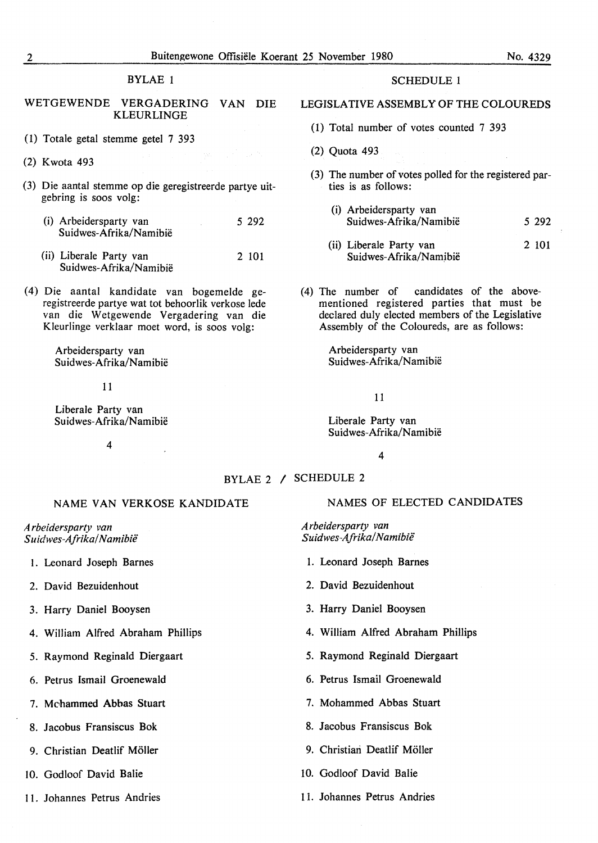#### BYLAE 1

#### WETGEWENDE VERGADERING VAN DIE KLEURLINGE

- (1) Totale getal stemme getel 7 393
- (2) Kwota 493
- (3) Die aantal stemme op die geregistreerde partye uitgebring is soos volg:
	- (i) Arbeidersparty van Suidwes-Afrika/Namibie 5 292
	- (ii) Liberale Party van Suidwes-Afrika/Namibië 2 101
- (4) Die aantal kandidate van bogemelde geregistreerde partye wat tot behoorlik verkose lede van die Wetgewende Vergadering van die Kleurlinge verklaar moet word, is soos volg:

Arbeidersparty van Suidwes-Afrika/Namibië

11

Liberale Party van Suidwes-Afrika/Namibië

4

## SCHEDULE 1

#### LEGISLATIVE ASSEMBLY OF THE COLOUREDS

- (1) Total number of votes counted 7 393
- (2) Quota 493
- (3) The number of votes polled for the registered parties is as follows:
	- (i) Arbeidersparty van Suidwes-Afrika/Namibië 5 292
	- (ii) Liberale Party van Suidwes-Afrika/Namibië 2 101
- (4) The number of candidates of the abovementioned registered parties that must be declared duly elected members of the Legislative Assembly of the Coloureds, are as follows:

Arbeidersparty van Suidwes-Afrika/Namibie

11

Liberale Party van Suidwes-Afrika/Namibië

4

#### BYLAE 2 *I* SCHEDULE 2

#### NAME VAN VERKOSE KANDIDATE

*A rbeidersparty van Su idwes-Afrika/ N amibii!* 

- 1. Leonard Joseph Barnes
- 2. David Bezuidenhout
- 3. Harry Daniel Booysen
- 4. William Alfred Abraham Phillips
- 5. Raymond Reginald Diergaart
- 6. Petrus Ismail Groenewald
- 7. Mchammed Abbas Stuart
- 8. Jacobus Fransiscus Bok
- 9. Christian Deatlif Möller
- 10. Godloof David Balie
- 11. Johannes Petrus Andries

#### NAMES OF ELECTED CANDIDATES

*A rbeidersparty van Suidwes-Afrika! Namibii!* 

- 1. Leonard Joseph Barnes
- 2. David Bezuidenhout
- 3. Harry Daniel Booysen
- 4. **William** Alfred Abraham Phillips
- 5. Raymond Reginald Diergaart
- 6. Petrus Ismail Groenewald
- 7. Mohammed Abbas Stuart
- 8. Jacobus Fransiscus Bok
- 9. Christian Deatlif Möller
- 10. Godloof David Balie
- 11. Johannes Petrus Andries